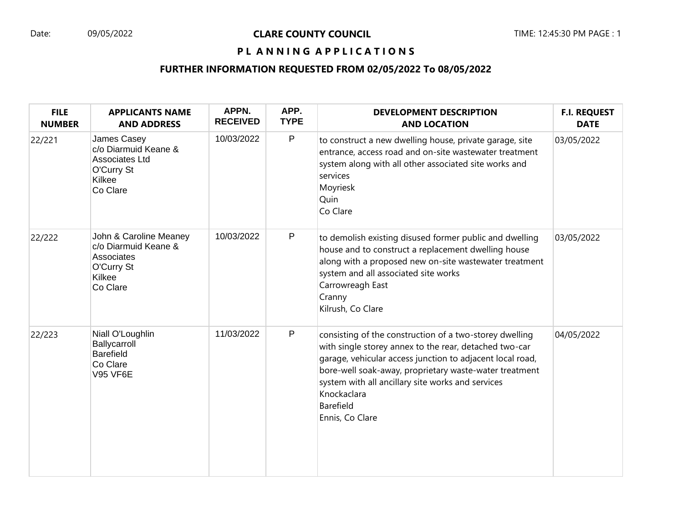## Date: 09/05/2022 **CLARE COUNTY COUNCIL** TIME: 12:45:30 PM PAGE : 1

# PL ANNING APPLICATIONS

## **FURTHER INFORMATION REQUESTED FROM 02/05/2022 To 08/05/2022**

| <b>FILE</b><br><b>NUMBER</b> | <b>APPLICANTS NAME</b><br><b>AND ADDRESS</b>                                                     | APPN.<br><b>RECEIVED</b> | APP.<br><b>TYPE</b> | <b>DEVELOPMENT DESCRIPTION</b><br><b>AND LOCATION</b>                                                                                                                                                                                                                                                                                               | <b>F.I. REQUEST</b><br><b>DATE</b> |
|------------------------------|--------------------------------------------------------------------------------------------------|--------------------------|---------------------|-----------------------------------------------------------------------------------------------------------------------------------------------------------------------------------------------------------------------------------------------------------------------------------------------------------------------------------------------------|------------------------------------|
| 22/221                       | James Casey<br>c/o Diarmuid Keane &<br>Associates Ltd<br>O'Curry St<br>Kilkee<br>Co Clare        | 10/03/2022               | $\mathsf P$         | to construct a new dwelling house, private garage, site<br>entrance, access road and on-site wastewater treatment<br>system along with all other associated site works and<br>services<br>Moyriesk<br>Quin<br>Co Clare                                                                                                                              | 03/05/2022                         |
| 22/222                       | John & Caroline Meaney<br>c/o Diarmuid Keane &<br>Associates<br>O'Curry St<br>Kilkee<br>Co Clare | 10/03/2022               | $\mathsf P$         | to demolish existing disused former public and dwelling<br>house and to construct a replacement dwelling house<br>along with a proposed new on-site wastewater treatment<br>system and all associated site works<br>Carrowreagh East<br>Cranny<br>Kilrush, Co Clare                                                                                 | 03/05/2022                         |
| 22/223                       | Niall O'Loughlin<br>Ballycarroll<br><b>Barefield</b><br>Co Clare<br><b>V95 VF6E</b>              | 11/03/2022               | P                   | consisting of the construction of a two-storey dwelling<br>with single storey annex to the rear, detached two-car<br>garage, vehicular access junction to adjacent local road,<br>bore-well soak-away, proprietary waste-water treatment<br>system with all ancillary site works and services<br>Knockaclara<br><b>Barefield</b><br>Ennis, Co Clare | 04/05/2022                         |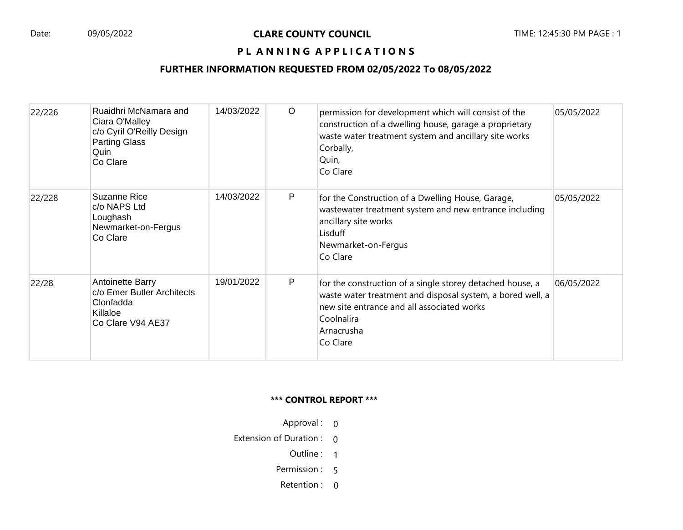#### Date: 09/05/2022 **CLARE COUNTY COUNCIL** TIME: 12:45:30 PM PAGE : 1

# PL ANNING APPLICATIONS

## **FURTHER INFORMATION REQUESTED FROM 02/05/2022 To 08/05/2022**

| 22/226 | Ruaidhri McNamara and<br>Ciara O'Malley<br>c/o Cyril O'Reilly Design<br><b>Parting Glass</b><br>Quin<br>Co Clare | 14/03/2022 | $\circ$ | permission for development which will consist of the<br>construction of a dwelling house, garage a proprietary<br>waste water treatment system and ancillary site works<br>Corbally,<br>Quin,<br>Co Clare     | 05/05/2022 |
|--------|------------------------------------------------------------------------------------------------------------------|------------|---------|---------------------------------------------------------------------------------------------------------------------------------------------------------------------------------------------------------------|------------|
| 22/228 | Suzanne Rice<br>c/o NAPS Ltd<br>Loughash<br>Newmarket-on-Fergus<br>Co Clare                                      | 14/03/2022 | P       | for the Construction of a Dwelling House, Garage,<br>wastewater treatment system and new entrance including<br>ancillary site works<br>Lisduff<br>Newmarket-on-Fergus<br>Co Clare                             | 05/05/2022 |
| 22/28  | Antoinette Barry<br>c/o Emer Butler Architects<br>Clonfadda<br>Killaloe<br>Co Clare V94 AE37                     | 19/01/2022 | P       | for the construction of a single storey detached house, a<br>waste water treatment and disposal system, a bored well, a<br>new site entrance and all associated works<br>Coolnalira<br>Arnacrusha<br>Co Clare | 06/05/2022 |

#### **\*\*\* CONTROL REPORT \*\*\***

- Approval : 0
- Extension of Duration : 0
	- Outline : 1
	- Permission : 5
	- Retention : 0